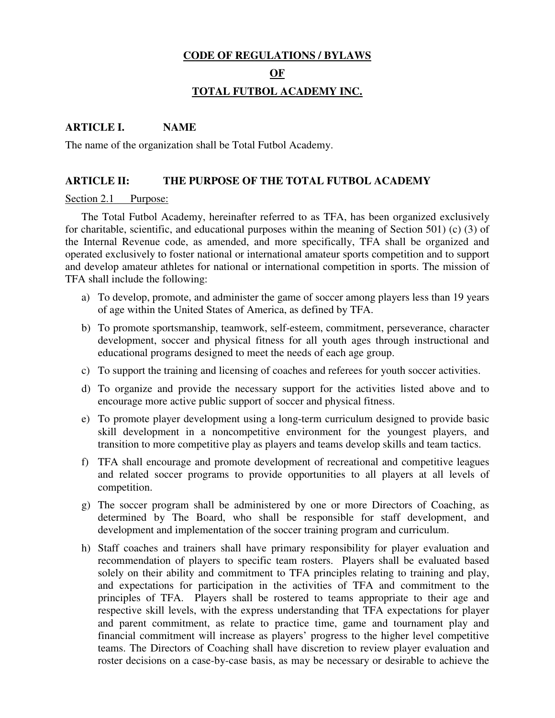## **CODE OF REGULATIONS / BYLAWS**

#### **OF**

# **TOTAL FUTBOL ACADEMY INC.**

## **ARTICLE I. NAME**

The name of the organization shall be Total Futbol Academy.

## **ARTICLE II: THE PURPOSE OF THE TOTAL FUTBOL ACADEMY**

## Section 2.1 Purpose:

The Total Futbol Academy, hereinafter referred to as TFA, has been organized exclusively for charitable, scientific, and educational purposes within the meaning of Section 501) (c) (3) of the Internal Revenue code, as amended, and more specifically, TFA shall be organized and operated exclusively to foster national or international amateur sports competition and to support and develop amateur athletes for national or international competition in sports. The mission of TFA shall include the following:

- a) To develop, promote, and administer the game of soccer among players less than 19 years of age within the United States of America, as defined by TFA.
- b) To promote sportsmanship, teamwork, self-esteem, commitment, perseverance, character development, soccer and physical fitness for all youth ages through instructional and educational programs designed to meet the needs of each age group.
- c) To support the training and licensing of coaches and referees for youth soccer activities.
- d) To organize and provide the necessary support for the activities listed above and to encourage more active public support of soccer and physical fitness.
- e) To promote player development using a long-term curriculum designed to provide basic skill development in a noncompetitive environment for the youngest players, and transition to more competitive play as players and teams develop skills and team tactics.
- f) TFA shall encourage and promote development of recreational and competitive leagues and related soccer programs to provide opportunities to all players at all levels of competition.
- g) The soccer program shall be administered by one or more Directors of Coaching, as determined by The Board, who shall be responsible for staff development, and development and implementation of the soccer training program and curriculum.
- h) Staff coaches and trainers shall have primary responsibility for player evaluation and recommendation of players to specific team rosters. Players shall be evaluated based solely on their ability and commitment to TFA principles relating to training and play, and expectations for participation in the activities of TFA and commitment to the principles of TFA. Players shall be rostered to teams appropriate to their age and respective skill levels, with the express understanding that TFA expectations for player and parent commitment, as relate to practice time, game and tournament play and financial commitment will increase as players' progress to the higher level competitive teams. The Directors of Coaching shall have discretion to review player evaluation and roster decisions on a case-by-case basis, as may be necessary or desirable to achieve the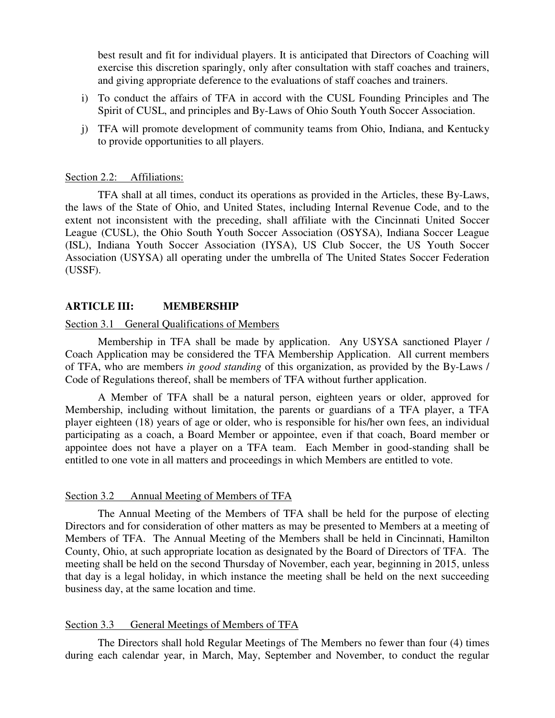best result and fit for individual players. It is anticipated that Directors of Coaching will exercise this discretion sparingly, only after consultation with staff coaches and trainers, and giving appropriate deference to the evaluations of staff coaches and trainers.

- i) To conduct the affairs of TFA in accord with the CUSL Founding Principles and The Spirit of CUSL, and principles and By-Laws of Ohio South Youth Soccer Association.
- j) TFA will promote development of community teams from Ohio, Indiana, and Kentucky to provide opportunities to all players.

#### Section 2.2: Affiliations:

TFA shall at all times, conduct its operations as provided in the Articles, these By-Laws, the laws of the State of Ohio, and United States, including Internal Revenue Code, and to the extent not inconsistent with the preceding, shall affiliate with the Cincinnati United Soccer League (CUSL), the Ohio South Youth Soccer Association (OSYSA), Indiana Soccer League (ISL), Indiana Youth Soccer Association (IYSA), US Club Soccer, the US Youth Soccer Association (USYSA) all operating under the umbrella of The United States Soccer Federation (USSF).

### **ARTICLE III: MEMBERSHIP**

#### Section 3.1 General Qualifications of Members

Membership in TFA shall be made by application. Any USYSA sanctioned Player / Coach Application may be considered the TFA Membership Application. All current members of TFA, who are members *in good standing* of this organization, as provided by the By-Laws / Code of Regulations thereof, shall be members of TFA without further application.

A Member of TFA shall be a natural person, eighteen years or older, approved for Membership, including without limitation, the parents or guardians of a TFA player, a TFA player eighteen (18) years of age or older, who is responsible for his/her own fees, an individual participating as a coach, a Board Member or appointee, even if that coach, Board member or appointee does not have a player on a TFA team. Each Member in good-standing shall be entitled to one vote in all matters and proceedings in which Members are entitled to vote.

### Section 3.2 Annual Meeting of Members of TFA

The Annual Meeting of the Members of TFA shall be held for the purpose of electing Directors and for consideration of other matters as may be presented to Members at a meeting of Members of TFA. The Annual Meeting of the Members shall be held in Cincinnati, Hamilton County, Ohio, at such appropriate location as designated by the Board of Directors of TFA. The meeting shall be held on the second Thursday of November, each year, beginning in 2015, unless that day is a legal holiday, in which instance the meeting shall be held on the next succeeding business day, at the same location and time.

#### Section 3.3 General Meetings of Members of TFA

The Directors shall hold Regular Meetings of The Members no fewer than four (4) times during each calendar year, in March, May, September and November, to conduct the regular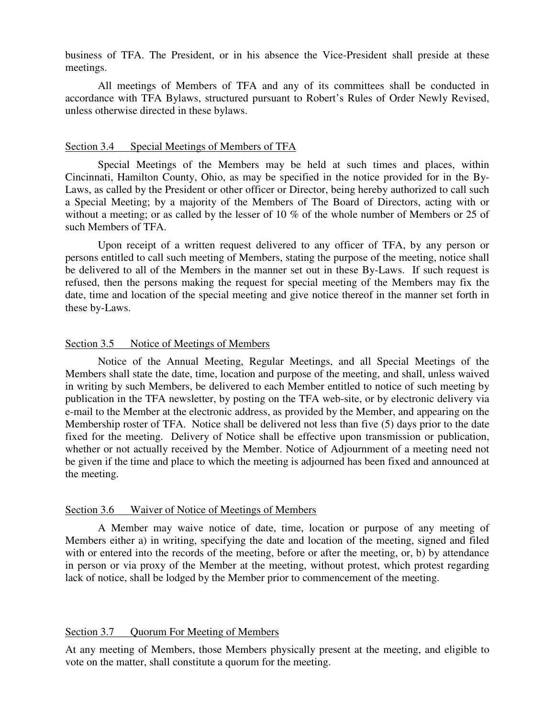business of TFA. The President, or in his absence the Vice-President shall preside at these meetings.

All meetings of Members of TFA and any of its committees shall be conducted in accordance with TFA Bylaws, structured pursuant to Robert's Rules of Order Newly Revised, unless otherwise directed in these bylaws.

#### Section 3.4 Special Meetings of Members of TFA

Special Meetings of the Members may be held at such times and places, within Cincinnati, Hamilton County, Ohio, as may be specified in the notice provided for in the By-Laws, as called by the President or other officer or Director, being hereby authorized to call such a Special Meeting; by a majority of the Members of The Board of Directors, acting with or without a meeting; or as called by the lesser of 10 % of the whole number of Members or 25 of such Members of TFA.

Upon receipt of a written request delivered to any officer of TFA, by any person or persons entitled to call such meeting of Members, stating the purpose of the meeting, notice shall be delivered to all of the Members in the manner set out in these By-Laws. If such request is refused, then the persons making the request for special meeting of the Members may fix the date, time and location of the special meeting and give notice thereof in the manner set forth in these by-Laws.

### Section 3.5 Notice of Meetings of Members

Notice of the Annual Meeting, Regular Meetings, and all Special Meetings of the Members shall state the date, time, location and purpose of the meeting, and shall, unless waived in writing by such Members, be delivered to each Member entitled to notice of such meeting by publication in the TFA newsletter, by posting on the TFA web-site, or by electronic delivery via e-mail to the Member at the electronic address, as provided by the Member, and appearing on the Membership roster of TFA. Notice shall be delivered not less than five (5) days prior to the date fixed for the meeting. Delivery of Notice shall be effective upon transmission or publication, whether or not actually received by the Member. Notice of Adjournment of a meeting need not be given if the time and place to which the meeting is adjourned has been fixed and announced at the meeting.

#### Section 3.6 Waiver of Notice of Meetings of Members

A Member may waive notice of date, time, location or purpose of any meeting of Members either a) in writing, specifying the date and location of the meeting, signed and filed with or entered into the records of the meeting, before or after the meeting, or, b) by attendance in person or via proxy of the Member at the meeting, without protest, which protest regarding lack of notice, shall be lodged by the Member prior to commencement of the meeting.

### Section 3.7 Ouorum For Meeting of Members

At any meeting of Members, those Members physically present at the meeting, and eligible to vote on the matter, shall constitute a quorum for the meeting.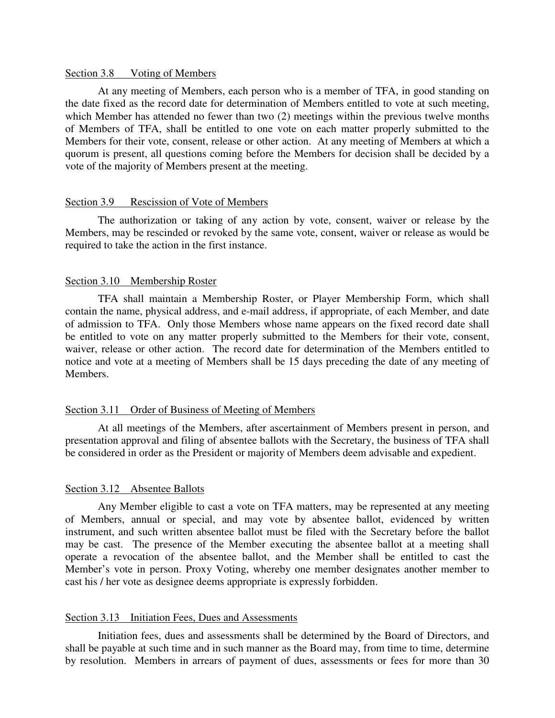### Section 3.8 Voting of Members

At any meeting of Members, each person who is a member of TFA, in good standing on the date fixed as the record date for determination of Members entitled to vote at such meeting, which Member has attended no fewer than two (2) meetings within the previous twelve months of Members of TFA, shall be entitled to one vote on each matter properly submitted to the Members for their vote, consent, release or other action. At any meeting of Members at which a quorum is present, all questions coming before the Members for decision shall be decided by a vote of the majority of Members present at the meeting.

### Section 3.9 Rescission of Vote of Members

The authorization or taking of any action by vote, consent, waiver or release by the Members, may be rescinded or revoked by the same vote, consent, waiver or release as would be required to take the action in the first instance.

### Section 3.10 Membership Roster

TFA shall maintain a Membership Roster, or Player Membership Form, which shall contain the name, physical address, and e-mail address, if appropriate, of each Member, and date of admission to TFA. Only those Members whose name appears on the fixed record date shall be entitled to vote on any matter properly submitted to the Members for their vote, consent, waiver, release or other action. The record date for determination of the Members entitled to notice and vote at a meeting of Members shall be 15 days preceding the date of any meeting of Members.

### Section 3.11 Order of Business of Meeting of Members

At all meetings of the Members, after ascertainment of Members present in person, and presentation approval and filing of absentee ballots with the Secretary, the business of TFA shall be considered in order as the President or majority of Members deem advisable and expedient.

## Section 3.12 Absentee Ballots

Any Member eligible to cast a vote on TFA matters, may be represented at any meeting of Members, annual or special, and may vote by absentee ballot, evidenced by written instrument, and such written absentee ballot must be filed with the Secretary before the ballot may be cast. The presence of the Member executing the absentee ballot at a meeting shall operate a revocation of the absentee ballot, and the Member shall be entitled to cast the Member's vote in person. Proxy Voting, whereby one member designates another member to cast his / her vote as designee deems appropriate is expressly forbidden.

#### Section 3.13 Initiation Fees, Dues and Assessments

Initiation fees, dues and assessments shall be determined by the Board of Directors, and shall be payable at such time and in such manner as the Board may, from time to time, determine by resolution. Members in arrears of payment of dues, assessments or fees for more than 30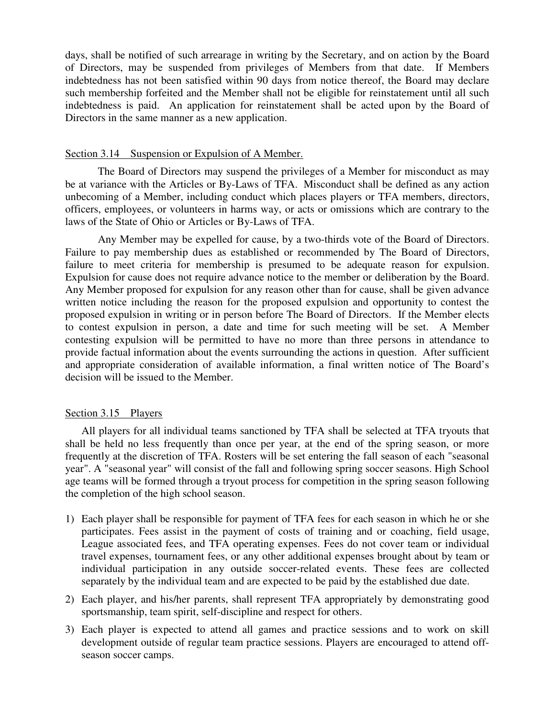days, shall be notified of such arrearage in writing by the Secretary, and on action by the Board of Directors, may be suspended from privileges of Members from that date. If Members indebtedness has not been satisfied within 90 days from notice thereof, the Board may declare such membership forfeited and the Member shall not be eligible for reinstatement until all such indebtedness is paid. An application for reinstatement shall be acted upon by the Board of Directors in the same manner as a new application.

## Section 3.14 Suspension or Expulsion of A Member.

The Board of Directors may suspend the privileges of a Member for misconduct as may be at variance with the Articles or By-Laws of TFA. Misconduct shall be defined as any action unbecoming of a Member, including conduct which places players or TFA members, directors, officers, employees, or volunteers in harms way, or acts or omissions which are contrary to the laws of the State of Ohio or Articles or By-Laws of TFA.

Any Member may be expelled for cause, by a two-thirds vote of the Board of Directors. Failure to pay membership dues as established or recommended by The Board of Directors, failure to meet criteria for membership is presumed to be adequate reason for expulsion. Expulsion for cause does not require advance notice to the member or deliberation by the Board. Any Member proposed for expulsion for any reason other than for cause, shall be given advance written notice including the reason for the proposed expulsion and opportunity to contest the proposed expulsion in writing or in person before The Board of Directors. If the Member elects to contest expulsion in person, a date and time for such meeting will be set. A Member contesting expulsion will be permitted to have no more than three persons in attendance to provide factual information about the events surrounding the actions in question. After sufficient and appropriate consideration of available information, a final written notice of The Board's decision will be issued to the Member.

## Section 3.15 Players

All players for all individual teams sanctioned by TFA shall be selected at TFA tryouts that shall be held no less frequently than once per year, at the end of the spring season, or more frequently at the discretion of TFA. Rosters will be set entering the fall season of each "seasonal year". A "seasonal year" will consist of the fall and following spring soccer seasons. High School age teams will be formed through a tryout process for competition in the spring season following the completion of the high school season.

- 1) Each player shall be responsible for payment of TFA fees for each season in which he or she participates. Fees assist in the payment of costs of training and or coaching, field usage, League associated fees, and TFA operating expenses. Fees do not cover team or individual travel expenses, tournament fees, or any other additional expenses brought about by team or individual participation in any outside soccer-related events. These fees are collected separately by the individual team and are expected to be paid by the established due date.
- 2) Each player, and his/her parents, shall represent TFA appropriately by demonstrating good sportsmanship, team spirit, self-discipline and respect for others.
- 3) Each player is expected to attend all games and practice sessions and to work on skill development outside of regular team practice sessions. Players are encouraged to attend offseason soccer camps.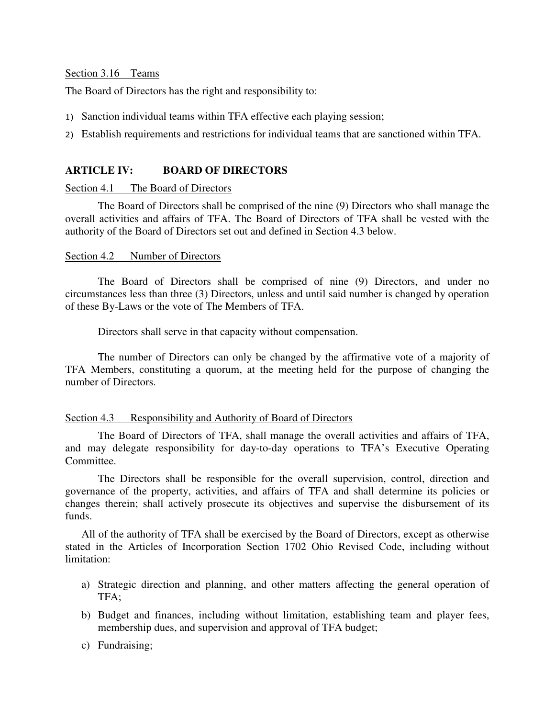Section 3.16 Teams

The Board of Directors has the right and responsibility to:

- 1) Sanction individual teams within TFA effective each playing session;
- 2) Establish requirements and restrictions for individual teams that are sanctioned within TFA.

## **ARTICLE IV: BOARD OF DIRECTORS**

## Section 4.1 The Board of Directors

 The Board of Directors shall be comprised of the nine (9) Directors who shall manage the overall activities and affairs of TFA. The Board of Directors of TFA shall be vested with the authority of the Board of Directors set out and defined in Section 4.3 below.

## Section 4.2 Number of Directors

The Board of Directors shall be comprised of nine (9) Directors, and under no circumstances less than three (3) Directors, unless and until said number is changed by operation of these By-Laws or the vote of The Members of TFA.

Directors shall serve in that capacity without compensation.

The number of Directors can only be changed by the affirmative vote of a majority of TFA Members, constituting a quorum, at the meeting held for the purpose of changing the number of Directors.

### Section 4.3 Responsibility and Authority of Board of Directors

The Board of Directors of TFA, shall manage the overall activities and affairs of TFA, and may delegate responsibility for day-to-day operations to TFA's Executive Operating Committee.

The Directors shall be responsible for the overall supervision, control, direction and governance of the property, activities, and affairs of TFA and shall determine its policies or changes therein; shall actively prosecute its objectives and supervise the disbursement of its funds.

All of the authority of TFA shall be exercised by the Board of Directors, except as otherwise stated in the Articles of Incorporation Section 1702 Ohio Revised Code, including without limitation:

- a) Strategic direction and planning, and other matters affecting the general operation of TFA;
- b) Budget and finances, including without limitation, establishing team and player fees, membership dues, and supervision and approval of TFA budget;
- c) Fundraising;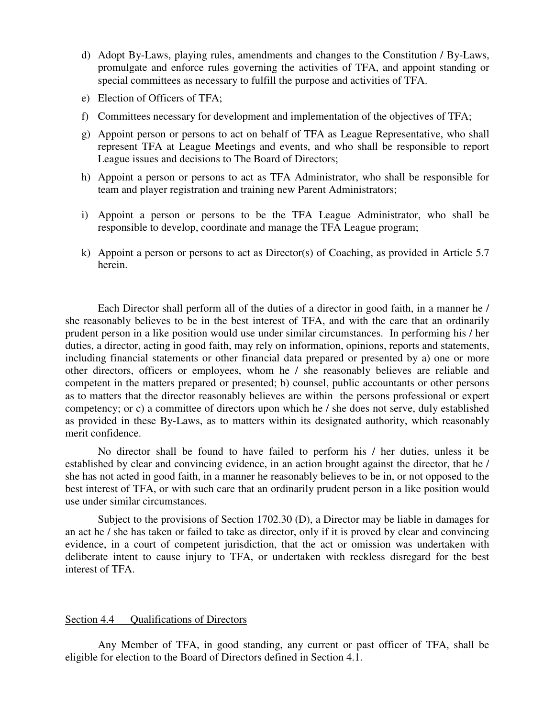- d) Adopt By-Laws, playing rules, amendments and changes to the Constitution / By-Laws, promulgate and enforce rules governing the activities of TFA, and appoint standing or special committees as necessary to fulfill the purpose and activities of TFA.
- e) Election of Officers of TFA;
- f) Committees necessary for development and implementation of the objectives of TFA;
- g) Appoint person or persons to act on behalf of TFA as League Representative, who shall represent TFA at League Meetings and events, and who shall be responsible to report League issues and decisions to The Board of Directors;
- h) Appoint a person or persons to act as TFA Administrator, who shall be responsible for team and player registration and training new Parent Administrators;
- i) Appoint a person or persons to be the TFA League Administrator, who shall be responsible to develop, coordinate and manage the TFA League program;
- k) Appoint a person or persons to act as Director(s) of Coaching, as provided in Article 5.7 herein.

Each Director shall perform all of the duties of a director in good faith, in a manner he / she reasonably believes to be in the best interest of TFA, and with the care that an ordinarily prudent person in a like position would use under similar circumstances. In performing his / her duties, a director, acting in good faith, may rely on information, opinions, reports and statements, including financial statements or other financial data prepared or presented by a) one or more other directors, officers or employees, whom he / she reasonably believes are reliable and competent in the matters prepared or presented; b) counsel, public accountants or other persons as to matters that the director reasonably believes are within the persons professional or expert competency; or c) a committee of directors upon which he / she does not serve, duly established as provided in these By-Laws, as to matters within its designated authority, which reasonably merit confidence.

 No director shall be found to have failed to perform his / her duties, unless it be established by clear and convincing evidence, in an action brought against the director, that he / she has not acted in good faith, in a manner he reasonably believes to be in, or not opposed to the best interest of TFA, or with such care that an ordinarily prudent person in a like position would use under similar circumstances.

Subject to the provisions of Section 1702.30 (D), a Director may be liable in damages for an act he / she has taken or failed to take as director, only if it is proved by clear and convincing evidence, in a court of competent jurisdiction, that the act or omission was undertaken with deliberate intent to cause injury to TFA, or undertaken with reckless disregard for the best interest of TFA.

#### Section 4.4 **Qualifications of Directors**

 Any Member of TFA, in good standing, any current or past officer of TFA, shall be eligible for election to the Board of Directors defined in Section 4.1.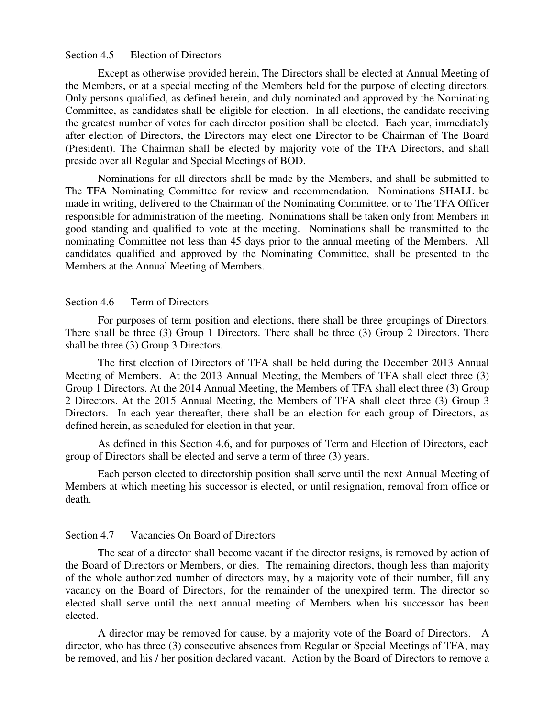## Section 4.5 Election of Directors

Except as otherwise provided herein, The Directors shall be elected at Annual Meeting of the Members, or at a special meeting of the Members held for the purpose of electing directors. Only persons qualified, as defined herein, and duly nominated and approved by the Nominating Committee, as candidates shall be eligible for election. In all elections, the candidate receiving the greatest number of votes for each director position shall be elected. Each year, immediately after election of Directors, the Directors may elect one Director to be Chairman of The Board (President). The Chairman shall be elected by majority vote of the TFA Directors, and shall preside over all Regular and Special Meetings of BOD.

 Nominations for all directors shall be made by the Members, and shall be submitted to The TFA Nominating Committee for review and recommendation. Nominations SHALL be made in writing, delivered to the Chairman of the Nominating Committee, or to The TFA Officer responsible for administration of the meeting. Nominations shall be taken only from Members in good standing and qualified to vote at the meeting. Nominations shall be transmitted to the nominating Committee not less than 45 days prior to the annual meeting of the Members. All candidates qualified and approved by the Nominating Committee, shall be presented to the Members at the Annual Meeting of Members.

#### Section 4.6 Term of Directors

 For purposes of term position and elections, there shall be three groupings of Directors. There shall be three (3) Group 1 Directors. There shall be three (3) Group 2 Directors. There shall be three (3) Group 3 Directors.

The first election of Directors of TFA shall be held during the December 2013 Annual Meeting of Members. At the 2013 Annual Meeting, the Members of TFA shall elect three (3) Group 1 Directors. At the 2014 Annual Meeting, the Members of TFA shall elect three (3) Group 2 Directors. At the 2015 Annual Meeting, the Members of TFA shall elect three (3) Group 3 Directors. In each year thereafter, there shall be an election for each group of Directors, as defined herein, as scheduled for election in that year.

As defined in this Section 4.6, and for purposes of Term and Election of Directors, each group of Directors shall be elected and serve a term of three (3) years.

Each person elected to directorship position shall serve until the next Annual Meeting of Members at which meeting his successor is elected, or until resignation, removal from office or death.

#### Section 4.7 Vacancies On Board of Directors

The seat of a director shall become vacant if the director resigns, is removed by action of the Board of Directors or Members, or dies. The remaining directors, though less than majority of the whole authorized number of directors may, by a majority vote of their number, fill any vacancy on the Board of Directors, for the remainder of the unexpired term. The director so elected shall serve until the next annual meeting of Members when his successor has been elected.

A director may be removed for cause, by a majority vote of the Board of Directors. A director, who has three (3) consecutive absences from Regular or Special Meetings of TFA, may be removed, and his / her position declared vacant. Action by the Board of Directors to remove a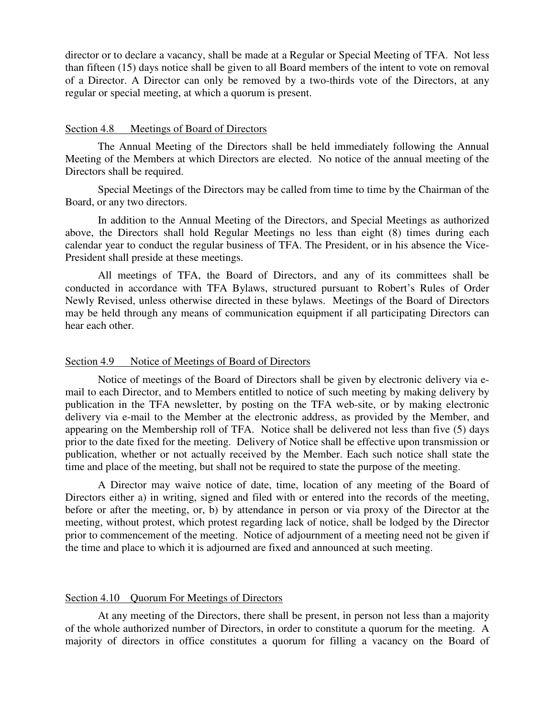director or to declare a vacancy, shall be made at a Regular or Special Meeting of TFA. Not less than fifteen (15) days notice shall be given to all Board members of the intent to vote on removal of a Director. A Director can only be removed by a two-thirds vote of the Directors, at any regular or special meeting, at which a quorum is present.

#### Section 4.8 Meetings of Board of Directors

The Annual Meeting of the Directors shall be held immediately following the Annual Meeting of the Members at which Directors are elected. No notice of the annual meeting of the Directors shall be required.

Special Meetings of the Directors may be called from time to time by the Chairman of the Board, or any two directors.

In addition to the Annual Meeting of the Directors, and Special Meetings as authorized above, the Directors shall hold Regular Meetings no less than eight (8) times during each calendar year to conduct the regular business of TFA. The President, or in his absence the Vice-President shall preside at these meetings.

All meetings of TFA, the Board of Directors, and any of its committees shall be conducted in accordance with TFA Bylaws, structured pursuant to Robert's Rules of Order Newly Revised, unless otherwise directed in these bylaws. Meetings of the Board of Directors may be held through any means of communication equipment if all participating Directors can hear each other.

### Section 4.9 Notice of Meetings of Board of Directors

Notice of meetings of the Board of Directors shall be given by electronic delivery via email to each Director, and to Members entitled to notice of such meeting by making delivery by publication in the TFA newsletter, by posting on the TFA web-site, or by making electronic delivery via e-mail to the Member at the electronic address, as provided by the Member, and appearing on the Membership roll of TFA. Notice shall be delivered not less than five (5) days prior to the date fixed for the meeting. Delivery of Notice shall be effective upon transmission or publication, whether or not actually received by the Member. Each such notice shall state the time and place of the meeting, but shall not be required to state the purpose of the meeting.

A Director may waive notice of date, time, location of any meeting of the Board of Directors either a) in writing, signed and filed with or entered into the records of the meeting, before or after the meeting, or, b) by attendance in person or via proxy of the Director at the meeting, without protest, which protest regarding lack of notice, shall be lodged by the Director prior to commencement of the meeting. Notice of adjournment of a meeting need not be given if the time and place to which it is adjourned are fixed and announced at such meeting.

### Section 4.10 Quorum For Meetings of Directors

At any meeting of the Directors, there shall be present, in person not less than a majority of the whole authorized number of Directors, in order to constitute a quorum for the meeting. A majority of directors in office constitutes a quorum for filling a vacancy on the Board of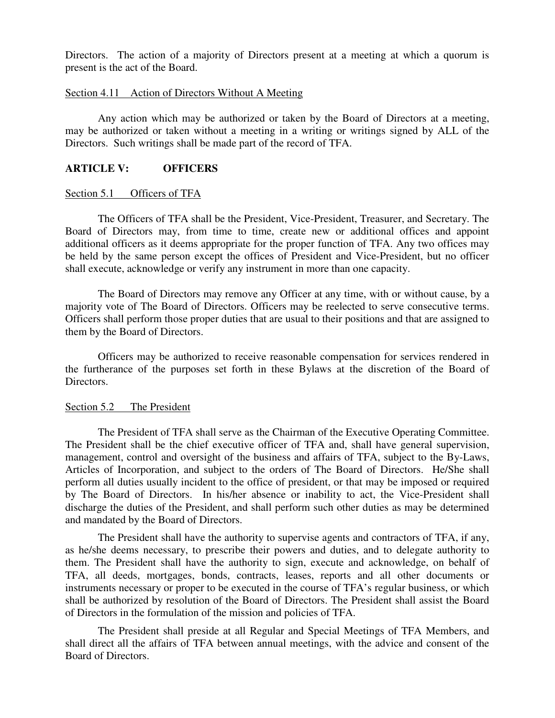Directors. The action of a majority of Directors present at a meeting at which a quorum is present is the act of the Board.

## Section 4.11 Action of Directors Without A Meeting

Any action which may be authorized or taken by the Board of Directors at a meeting, may be authorized or taken without a meeting in a writing or writings signed by ALL of the Directors. Such writings shall be made part of the record of TFA.

## **ARTICLE V: OFFICERS**

## Section 5.1 Officers of TFA

The Officers of TFA shall be the President, Vice-President, Treasurer, and Secretary. The Board of Directors may, from time to time, create new or additional offices and appoint additional officers as it deems appropriate for the proper function of TFA. Any two offices may be held by the same person except the offices of President and Vice-President, but no officer shall execute, acknowledge or verify any instrument in more than one capacity.

The Board of Directors may remove any Officer at any time, with or without cause, by a majority vote of The Board of Directors. Officers may be reelected to serve consecutive terms. Officers shall perform those proper duties that are usual to their positions and that are assigned to them by the Board of Directors.

Officers may be authorized to receive reasonable compensation for services rendered in the furtherance of the purposes set forth in these Bylaws at the discretion of the Board of Directors.

### Section 5.2 The President

The President of TFA shall serve as the Chairman of the Executive Operating Committee. The President shall be the chief executive officer of TFA and, shall have general supervision, management, control and oversight of the business and affairs of TFA, subject to the By-Laws, Articles of Incorporation, and subject to the orders of The Board of Directors. He/She shall perform all duties usually incident to the office of president, or that may be imposed or required by The Board of Directors. In his/her absence or inability to act, the Vice-President shall discharge the duties of the President, and shall perform such other duties as may be determined and mandated by the Board of Directors.

The President shall have the authority to supervise agents and contractors of TFA, if any, as he/she deems necessary, to prescribe their powers and duties, and to delegate authority to them. The President shall have the authority to sign, execute and acknowledge, on behalf of TFA, all deeds, mortgages, bonds, contracts, leases, reports and all other documents or instruments necessary or proper to be executed in the course of TFA's regular business, or which shall be authorized by resolution of the Board of Directors. The President shall assist the Board of Directors in the formulation of the mission and policies of TFA.

The President shall preside at all Regular and Special Meetings of TFA Members, and shall direct all the affairs of TFA between annual meetings, with the advice and consent of the Board of Directors.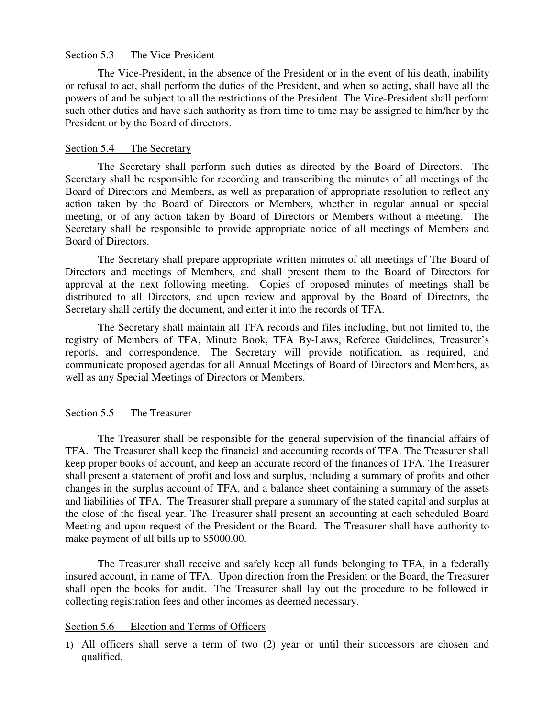## Section 5.3 The Vice-President

The Vice-President, in the absence of the President or in the event of his death, inability or refusal to act, shall perform the duties of the President, and when so acting, shall have all the powers of and be subject to all the restrictions of the President. The Vice-President shall perform such other duties and have such authority as from time to time may be assigned to him/her by the President or by the Board of directors.

## Section 5.4 The Secretary

The Secretary shall perform such duties as directed by the Board of Directors. The Secretary shall be responsible for recording and transcribing the minutes of all meetings of the Board of Directors and Members, as well as preparation of appropriate resolution to reflect any action taken by the Board of Directors or Members, whether in regular annual or special meeting, or of any action taken by Board of Directors or Members without a meeting. The Secretary shall be responsible to provide appropriate notice of all meetings of Members and Board of Directors.

The Secretary shall prepare appropriate written minutes of all meetings of The Board of Directors and meetings of Members, and shall present them to the Board of Directors for approval at the next following meeting. Copies of proposed minutes of meetings shall be distributed to all Directors, and upon review and approval by the Board of Directors, the Secretary shall certify the document, and enter it into the records of TFA.

The Secretary shall maintain all TFA records and files including, but not limited to, the registry of Members of TFA, Minute Book, TFA By-Laws, Referee Guidelines, Treasurer's reports, and correspondence. The Secretary will provide notification, as required, and communicate proposed agendas for all Annual Meetings of Board of Directors and Members, as well as any Special Meetings of Directors or Members.

### Section 5.5 The Treasurer

The Treasurer shall be responsible for the general supervision of the financial affairs of TFA. The Treasurer shall keep the financial and accounting records of TFA. The Treasurer shall keep proper books of account, and keep an accurate record of the finances of TFA. The Treasurer shall present a statement of profit and loss and surplus, including a summary of profits and other changes in the surplus account of TFA, and a balance sheet containing a summary of the assets and liabilities of TFA. The Treasurer shall prepare a summary of the stated capital and surplus at the close of the fiscal year. The Treasurer shall present an accounting at each scheduled Board Meeting and upon request of the President or the Board. The Treasurer shall have authority to make payment of all bills up to \$5000.00.

The Treasurer shall receive and safely keep all funds belonging to TFA, in a federally insured account, in name of TFA. Upon direction from the President or the Board, the Treasurer shall open the books for audit. The Treasurer shall lay out the procedure to be followed in collecting registration fees and other incomes as deemed necessary.

### Section 5.6 Election and Terms of Officers

1) All officers shall serve a term of two (2) year or until their successors are chosen and qualified.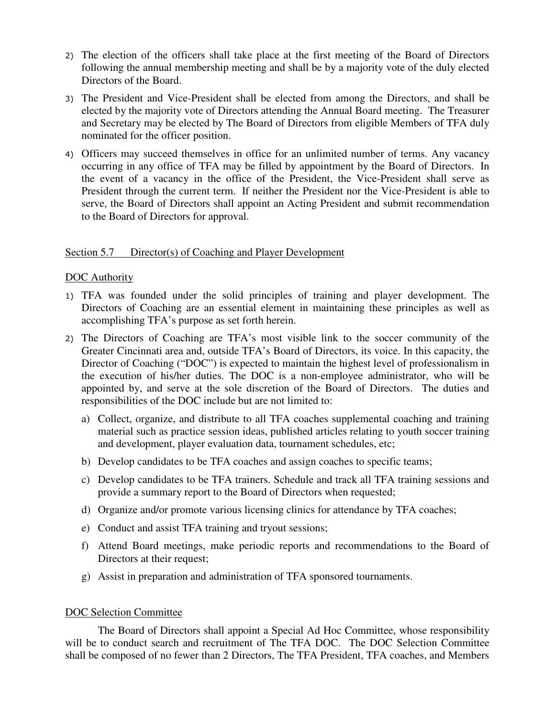- 2) The election of the officers shall take place at the first meeting of the Board of Directors following the annual membership meeting and shall be by a majority vote of the duly elected Directors of the Board.
- 3) The President and Vice-President shall be elected from among the Directors, and shall be elected by the majority vote of Directors attending the Annual Board meeting. The Treasurer and Secretary may be elected by The Board of Directors from eligible Members of TFA duly nominated for the officer position.
- 4) Officers may succeed themselves in office for an unlimited number of terms. Any vacancy occurring in any office of TFA may be filled by appointment by the Board of Directors. In the event of a vacancy in the office of the President, the Vice-President shall serve as President through the current term. If neither the President nor the Vice-President is able to serve, the Board of Directors shall appoint an Acting President and submit recommendation to the Board of Directors for approval.

## Section 5.7 Director(s) of Coaching and Player Development

## DOC Authority

- 1) TFA was founded under the solid principles of training and player development. The Directors of Coaching are an essential element in maintaining these principles as well as accomplishing TFA's purpose as set forth herein.
- 2) The Directors of Coaching are TFA's most visible link to the soccer community of the Greater Cincinnati area and, outside TFA's Board of Directors, its voice. In this capacity, the Director of Coaching ("DOC") is expected to maintain the highest level of professionalism in the execution of his/her duties. The DOC is a non-employee administrator, who will be appointed by, and serve at the sole discretion of the Board of Directors. The duties and responsibilities of the DOC include but are not limited to:
	- a) Collect, organize, and distribute to all TFA coaches supplemental coaching and training material such as practice session ideas, published articles relating to youth soccer training and development, player evaluation data, tournament schedules, etc;
	- b) Develop candidates to be TFA coaches and assign coaches to specific teams;
	- c) Develop candidates to be TFA trainers. Schedule and track all TFA training sessions and provide a summary report to the Board of Directors when requested;
	- d) Organize and/or promote various licensing clinics for attendance by TFA coaches;
	- e) Conduct and assist TFA training and tryout sessions;
	- f) Attend Board meetings, make periodic reports and recommendations to the Board of Directors at their request;
	- g) Assist in preparation and administration of TFA sponsored tournaments.

## DOC Selection Committee

The Board of Directors shall appoint a Special Ad Hoc Committee, whose responsibility will be to conduct search and recruitment of The TFA DOC. The DOC Selection Committee shall be composed of no fewer than 2 Directors, The TFA President, TFA coaches, and Members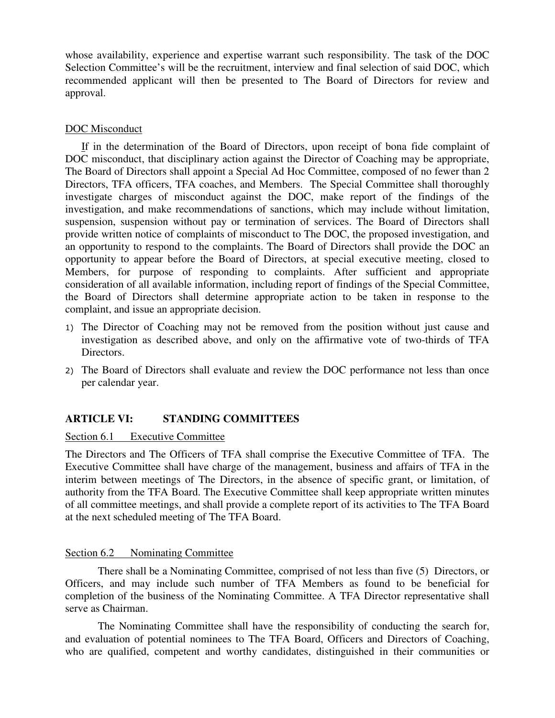whose availability, experience and expertise warrant such responsibility. The task of the DOC Selection Committee's will be the recruitment, interview and final selection of said DOC, which recommended applicant will then be presented to The Board of Directors for review and approval.

## DOC Misconduct

If in the determination of the Board of Directors, upon receipt of bona fide complaint of DOC misconduct, that disciplinary action against the Director of Coaching may be appropriate, The Board of Directors shall appoint a Special Ad Hoc Committee, composed of no fewer than 2 Directors, TFA officers, TFA coaches, and Members. The Special Committee shall thoroughly investigate charges of misconduct against the DOC, make report of the findings of the investigation, and make recommendations of sanctions, which may include without limitation, suspension, suspension without pay or termination of services. The Board of Directors shall provide written notice of complaints of misconduct to The DOC, the proposed investigation, and an opportunity to respond to the complaints. The Board of Directors shall provide the DOC an opportunity to appear before the Board of Directors, at special executive meeting, closed to Members, for purpose of responding to complaints. After sufficient and appropriate consideration of all available information, including report of findings of the Special Committee, the Board of Directors shall determine appropriate action to be taken in response to the complaint, and issue an appropriate decision.

- 1) The Director of Coaching may not be removed from the position without just cause and investigation as described above, and only on the affirmative vote of two-thirds of TFA Directors.
- 2) The Board of Directors shall evaluate and review the DOC performance not less than once per calendar year.

# **ARTICLE VI: STANDING COMMITTEES**

## Section 6.1 Executive Committee

The Directors and The Officers of TFA shall comprise the Executive Committee of TFA. The Executive Committee shall have charge of the management, business and affairs of TFA in the interim between meetings of The Directors, in the absence of specific grant, or limitation, of authority from the TFA Board. The Executive Committee shall keep appropriate written minutes of all committee meetings, and shall provide a complete report of its activities to The TFA Board at the next scheduled meeting of The TFA Board.

## Section 6.2 Nominating Committee

There shall be a Nominating Committee, comprised of not less than five (5) Directors, or Officers, and may include such number of TFA Members as found to be beneficial for completion of the business of the Nominating Committee. A TFA Director representative shall serve as Chairman.

The Nominating Committee shall have the responsibility of conducting the search for, and evaluation of potential nominees to The TFA Board, Officers and Directors of Coaching, who are qualified, competent and worthy candidates, distinguished in their communities or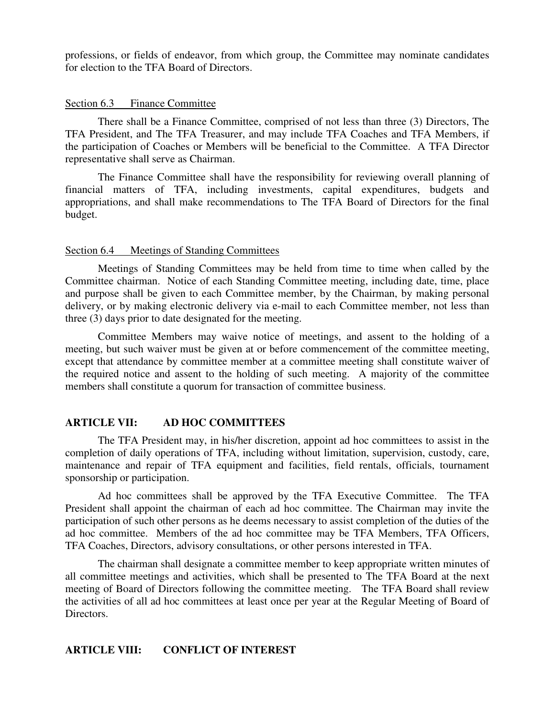professions, or fields of endeavor, from which group, the Committee may nominate candidates for election to the TFA Board of Directors.

## Section 6.3 Finance Committee

There shall be a Finance Committee, comprised of not less than three (3) Directors, The TFA President, and The TFA Treasurer, and may include TFA Coaches and TFA Members, if the participation of Coaches or Members will be beneficial to the Committee. A TFA Director representative shall serve as Chairman.

The Finance Committee shall have the responsibility for reviewing overall planning of financial matters of TFA, including investments, capital expenditures, budgets and appropriations, and shall make recommendations to The TFA Board of Directors for the final budget.

## Section 6.4 Meetings of Standing Committees

Meetings of Standing Committees may be held from time to time when called by the Committee chairman. Notice of each Standing Committee meeting, including date, time, place and purpose shall be given to each Committee member, by the Chairman, by making personal delivery, or by making electronic delivery via e-mail to each Committee member, not less than three (3) days prior to date designated for the meeting.

Committee Members may waive notice of meetings, and assent to the holding of a meeting, but such waiver must be given at or before commencement of the committee meeting, except that attendance by committee member at a committee meeting shall constitute waiver of the required notice and assent to the holding of such meeting. A majority of the committee members shall constitute a quorum for transaction of committee business.

# **ARTICLE VII: AD HOC COMMITTEES**

The TFA President may, in his/her discretion, appoint ad hoc committees to assist in the completion of daily operations of TFA, including without limitation, supervision, custody, care, maintenance and repair of TFA equipment and facilities, field rentals, officials, tournament sponsorship or participation.

Ad hoc committees shall be approved by the TFA Executive Committee. The TFA President shall appoint the chairman of each ad hoc committee. The Chairman may invite the participation of such other persons as he deems necessary to assist completion of the duties of the ad hoc committee. Members of the ad hoc committee may be TFA Members, TFA Officers, TFA Coaches, Directors, advisory consultations, or other persons interested in TFA.

The chairman shall designate a committee member to keep appropriate written minutes of all committee meetings and activities, which shall be presented to The TFA Board at the next meeting of Board of Directors following the committee meeting. The TFA Board shall review the activities of all ad hoc committees at least once per year at the Regular Meeting of Board of Directors.

## **ARTICLE VIII: CONFLICT OF INTEREST**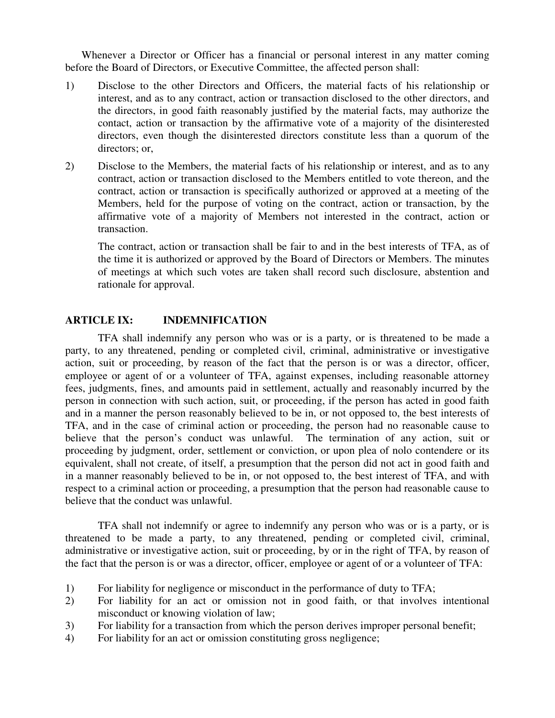Whenever a Director or Officer has a financial or personal interest in any matter coming before the Board of Directors, or Executive Committee, the affected person shall:

- 1) Disclose to the other Directors and Officers, the material facts of his relationship or interest, and as to any contract, action or transaction disclosed to the other directors, and the directors, in good faith reasonably justified by the material facts, may authorize the contact, action or transaction by the affirmative vote of a majority of the disinterested directors, even though the disinterested directors constitute less than a quorum of the directors; or,
- 2) Disclose to the Members, the material facts of his relationship or interest, and as to any contract, action or transaction disclosed to the Members entitled to vote thereon, and the contract, action or transaction is specifically authorized or approved at a meeting of the Members, held for the purpose of voting on the contract, action or transaction, by the affirmative vote of a majority of Members not interested in the contract, action or transaction.

The contract, action or transaction shall be fair to and in the best interests of TFA, as of the time it is authorized or approved by the Board of Directors or Members. The minutes of meetings at which such votes are taken shall record such disclosure, abstention and rationale for approval.

## **ARTICLE IX: INDEMNIFICATION**

TFA shall indemnify any person who was or is a party, or is threatened to be made a party, to any threatened, pending or completed civil, criminal, administrative or investigative action, suit or proceeding, by reason of the fact that the person is or was a director, officer, employee or agent of or a volunteer of TFA, against expenses, including reasonable attorney fees, judgments, fines, and amounts paid in settlement, actually and reasonably incurred by the person in connection with such action, suit, or proceeding, if the person has acted in good faith and in a manner the person reasonably believed to be in, or not opposed to, the best interests of TFA, and in the case of criminal action or proceeding, the person had no reasonable cause to believe that the person's conduct was unlawful. The termination of any action, suit or proceeding by judgment, order, settlement or conviction, or upon plea of nolo contendere or its equivalent, shall not create, of itself, a presumption that the person did not act in good faith and in a manner reasonably believed to be in, or not opposed to, the best interest of TFA, and with respect to a criminal action or proceeding, a presumption that the person had reasonable cause to believe that the conduct was unlawful.

TFA shall not indemnify or agree to indemnify any person who was or is a party, or is threatened to be made a party, to any threatened, pending or completed civil, criminal, administrative or investigative action, suit or proceeding, by or in the right of TFA, by reason of the fact that the person is or was a director, officer, employee or agent of or a volunteer of TFA:

- 1) For liability for negligence or misconduct in the performance of duty to TFA;
- 2) For liability for an act or omission not in good faith, or that involves intentional misconduct or knowing violation of law;
- 3) For liability for a transaction from which the person derives improper personal benefit;
- 4) For liability for an act or omission constituting gross negligence;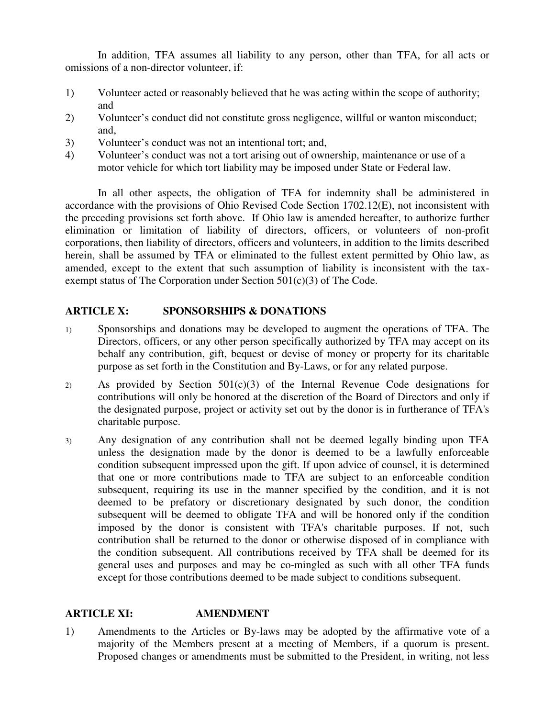In addition, TFA assumes all liability to any person, other than TFA, for all acts or omissions of a non-director volunteer, if:

- 1) Volunteer acted or reasonably believed that he was acting within the scope of authority; and
- 2) Volunteer's conduct did not constitute gross negligence, willful or wanton misconduct; and,
- 3) Volunteer's conduct was not an intentional tort; and,
- 4) Volunteer's conduct was not a tort arising out of ownership, maintenance or use of a motor vehicle for which tort liability may be imposed under State or Federal law.

In all other aspects, the obligation of TFA for indemnity shall be administered in accordance with the provisions of Ohio Revised Code Section 1702.12(E), not inconsistent with the preceding provisions set forth above. If Ohio law is amended hereafter, to authorize further elimination or limitation of liability of directors, officers, or volunteers of non-profit corporations, then liability of directors, officers and volunteers, in addition to the limits described herein, shall be assumed by TFA or eliminated to the fullest extent permitted by Ohio law, as amended, except to the extent that such assumption of liability is inconsistent with the taxexempt status of The Corporation under Section 501(c)(3) of The Code.

# **ARTICLE X: SPONSORSHIPS & DONATIONS**

- 1) Sponsorships and donations may be developed to augment the operations of TFA. The Directors, officers, or any other person specifically authorized by TFA may accept on its behalf any contribution, gift, bequest or devise of money or property for its charitable purpose as set forth in the Constitution and By-Laws, or for any related purpose.
- 2) As provided by Section 501(c)(3) of the Internal Revenue Code designations for contributions will only be honored at the discretion of the Board of Directors and only if the designated purpose, project or activity set out by the donor is in furtherance of TFA's charitable purpose.
- 3) Any designation of any contribution shall not be deemed legally binding upon TFA unless the designation made by the donor is deemed to be a lawfully enforceable condition subsequent impressed upon the gift. If upon advice of counsel, it is determined that one or more contributions made to TFA are subject to an enforceable condition subsequent, requiring its use in the manner specified by the condition, and it is not deemed to be prefatory or discretionary designated by such donor, the condition subsequent will be deemed to obligate TFA and will be honored only if the condition imposed by the donor is consistent with TFA's charitable purposes. If not, such contribution shall be returned to the donor or otherwise disposed of in compliance with the condition subsequent. All contributions received by TFA shall be deemed for its general uses and purposes and may be co-mingled as such with all other TFA funds except for those contributions deemed to be made subject to conditions subsequent.

# **ARTICLE XI: AMENDMENT**

1) Amendments to the Articles or By-laws may be adopted by the affirmative vote of a majority of the Members present at a meeting of Members, if a quorum is present. Proposed changes or amendments must be submitted to the President, in writing, not less